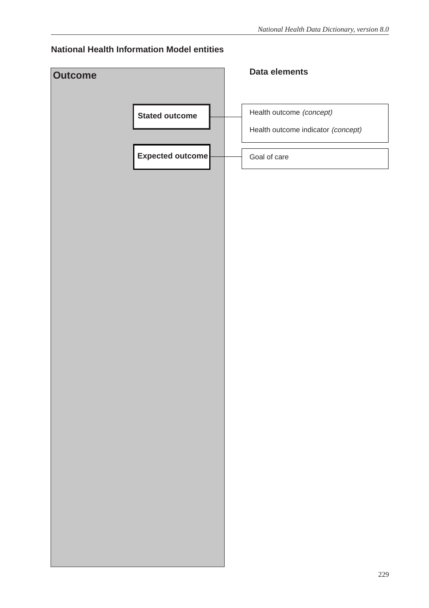### **National Health Information Model entities**

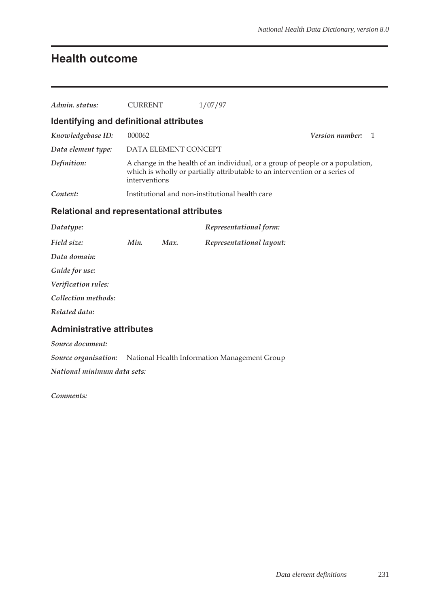## **Health outcome**

| Admin. status:                                    | <b>CURRENT</b>                                                                                                                                                                 |                      | 1/07/97                                                                  |                              |
|---------------------------------------------------|--------------------------------------------------------------------------------------------------------------------------------------------------------------------------------|----------------------|--------------------------------------------------------------------------|------------------------------|
| Identifying and definitional attributes           |                                                                                                                                                                                |                      |                                                                          |                              |
| Knowledgebase ID:                                 | 000062                                                                                                                                                                         |                      |                                                                          | <b>Version number:</b><br>-1 |
| Data element type:                                |                                                                                                                                                                                | DATA ELEMENT CONCEPT |                                                                          |                              |
| Definition:                                       | A change in the health of an individual, or a group of people or a population,<br>which is wholly or partially attributable to an intervention or a series of<br>interventions |                      |                                                                          |                              |
| Context:                                          | Institutional and non-institutional health care                                                                                                                                |                      |                                                                          |                              |
| <b>Relational and representational attributes</b> |                                                                                                                                                                                |                      |                                                                          |                              |
| Datatype:                                         |                                                                                                                                                                                |                      | Representational form:                                                   |                              |
| Field size:                                       | Min.                                                                                                                                                                           | Max.                 | Representational layout:                                                 |                              |
| Data domain:                                      |                                                                                                                                                                                |                      |                                                                          |                              |
| Guide for use:                                    |                                                                                                                                                                                |                      |                                                                          |                              |
| Verification rules:                               |                                                                                                                                                                                |                      |                                                                          |                              |
| Collection methods:                               |                                                                                                                                                                                |                      |                                                                          |                              |
| Related data:                                     |                                                                                                                                                                                |                      |                                                                          |                              |
| <b>Administrative attributes</b>                  |                                                                                                                                                                                |                      |                                                                          |                              |
| Source document:                                  |                                                                                                                                                                                |                      |                                                                          |                              |
|                                                   |                                                                                                                                                                                |                      | <b>Source organisation:</b> National Health Information Management Group |                              |
| National minimum data sets:                       |                                                                                                                                                                                |                      |                                                                          |                              |

*Comments:*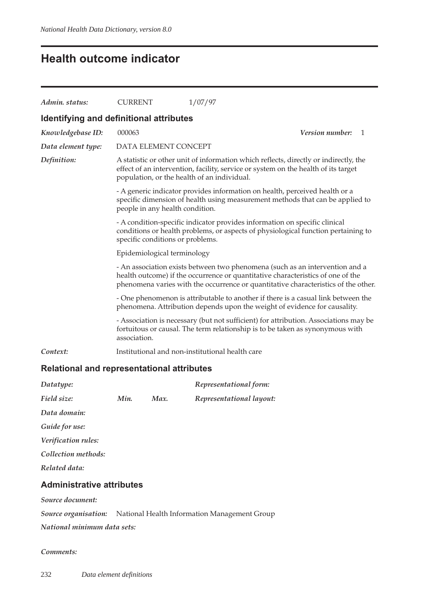## **Health outcome indicator**

| Admin. status:                          | <b>CURRENT</b>                              | 1/07/97                                                                                                                                                                                                                                               |                       |  |
|-----------------------------------------|---------------------------------------------|-------------------------------------------------------------------------------------------------------------------------------------------------------------------------------------------------------------------------------------------------------|-----------------------|--|
| Identifying and definitional attributes |                                             |                                                                                                                                                                                                                                                       |                       |  |
| Knowledgebase ID:                       | 000063                                      |                                                                                                                                                                                                                                                       | Version number:<br>-1 |  |
| Data element type:                      | DATA ELEMENT CONCEPT                        |                                                                                                                                                                                                                                                       |                       |  |
| Definition:                             | population, or the health of an individual. | A statistic or other unit of information which reflects, directly or indirectly, the<br>effect of an intervention, facility, service or system on the health of its target                                                                            |                       |  |
|                                         | people in any health condition.             | - A generic indicator provides information on health, perceived health or a<br>specific dimension of health using measurement methods that can be applied to                                                                                          |                       |  |
|                                         | specific conditions or problems.            | - A condition-specific indicator provides information on specific clinical<br>conditions or health problems, or aspects of physiological function pertaining to                                                                                       |                       |  |
|                                         | Epidemiological terminology                 |                                                                                                                                                                                                                                                       |                       |  |
|                                         |                                             | - An association exists between two phenomena (such as an intervention and a<br>health outcome) if the occurrence or quantitative characteristics of one of the<br>phenomena varies with the occurrence or quantitative characteristics of the other. |                       |  |
|                                         |                                             | - One phenomenon is attributable to another if there is a casual link between the<br>phenomena. Attribution depends upon the weight of evidence for causality.                                                                                        |                       |  |
|                                         | association.                                | - Association is necessary (but not sufficient) for attribution. Associations may be<br>fortuitous or causal. The term relationship is to be taken as synonymous with                                                                                 |                       |  |
| Context:                                |                                             | Institutional and non-institutional health care                                                                                                                                                                                                       |                       |  |

### **Relational and representational attributes**

| Datatype:                        |      |      | Representational form:                                                   |
|----------------------------------|------|------|--------------------------------------------------------------------------|
| Field size:                      | Min. | Max. | Representational layout:                                                 |
| Data domain:                     |      |      |                                                                          |
| Guide for use:                   |      |      |                                                                          |
| <i>Verification rules:</i>       |      |      |                                                                          |
| Collection methods:              |      |      |                                                                          |
| Related data:                    |      |      |                                                                          |
| <b>Administrative attributes</b> |      |      |                                                                          |
| Source document:                 |      |      |                                                                          |
|                                  |      |      | <b>Source organisation:</b> National Health Information Management Group |
| National minimum data sets:      |      |      |                                                                          |

#### *Comments:*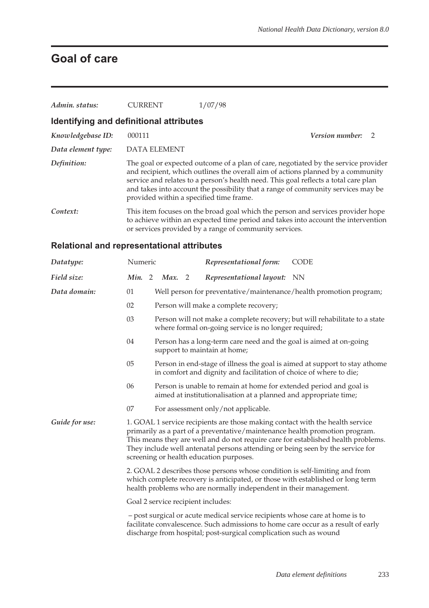# **Goal of care**

| Admin. status:                                    | <b>CURRENT</b>                          | 1/07/98                                                                                                                                                                                                                                                                                                                                          |  |
|---------------------------------------------------|-----------------------------------------|--------------------------------------------------------------------------------------------------------------------------------------------------------------------------------------------------------------------------------------------------------------------------------------------------------------------------------------------------|--|
| Identifying and definitional attributes           |                                         |                                                                                                                                                                                                                                                                                                                                                  |  |
| Knowledgebase ID:                                 | 000111                                  | <b>Version number:</b> 2                                                                                                                                                                                                                                                                                                                         |  |
| Data element type:                                | <b>DATA ELEMENT</b>                     |                                                                                                                                                                                                                                                                                                                                                  |  |
| Definition:                                       | provided within a specified time frame. | The goal or expected outcome of a plan of care, negotiated by the service provider<br>and recipient, which outlines the overall aim of actions planned by a community<br>service and relates to a person's health need. This goal reflects a total care plan<br>and takes into account the possibility that a range of community services may be |  |
| Context:                                          |                                         | This item focuses on the broad goal which the person and services provider hope<br>to achieve within an expected time period and takes into account the intervention<br>or services provided by a range of community services.                                                                                                                   |  |
| <b>Relational and representational attributes</b> |                                         |                                                                                                                                                                                                                                                                                                                                                  |  |

| Datatype:      | Numeric<br>Representational form:<br><b>CODE</b>                                                                                                                                                                                                                                                                                                                               |  |  |  |
|----------------|--------------------------------------------------------------------------------------------------------------------------------------------------------------------------------------------------------------------------------------------------------------------------------------------------------------------------------------------------------------------------------|--|--|--|
| Field size:    | Min. 2<br>Representational layout: NN<br>Max. 2                                                                                                                                                                                                                                                                                                                                |  |  |  |
| Data domain:   | 01<br>Well person for preventative/maintenance/health promotion program;                                                                                                                                                                                                                                                                                                       |  |  |  |
|                | 02<br>Person will make a complete recovery;                                                                                                                                                                                                                                                                                                                                    |  |  |  |
|                | 03<br>Person will not make a complete recovery; but will rehabilitate to a state<br>where formal on-going service is no longer required;                                                                                                                                                                                                                                       |  |  |  |
|                | 04<br>Person has a long-term care need and the goal is aimed at on-going<br>support to maintain at home;                                                                                                                                                                                                                                                                       |  |  |  |
|                | 05<br>Person in end-stage of illness the goal is aimed at support to stay athome<br>in comfort and dignity and facilitation of choice of where to die;                                                                                                                                                                                                                         |  |  |  |
|                | 06<br>Person is unable to remain at home for extended period and goal is<br>aimed at institutionalisation at a planned and appropriate time;                                                                                                                                                                                                                                   |  |  |  |
|                | 07<br>For assessment only/not applicable.                                                                                                                                                                                                                                                                                                                                      |  |  |  |
| Guide for use: | 1. GOAL 1 service recipients are those making contact with the health service<br>primarily as a part of a preventative/maintenance health promotion program.<br>This means they are well and do not require care for established health problems.<br>They include well antenatal persons attending or being seen by the service for<br>screening or health education purposes. |  |  |  |
|                | 2. GOAL 2 describes those persons whose condition is self-limiting and from<br>which complete recovery is anticipated, or those with established or long term<br>health problems who are normally independent in their management.                                                                                                                                             |  |  |  |
|                | Goal 2 service recipient includes:                                                                                                                                                                                                                                                                                                                                             |  |  |  |
|                | - post surgical or acute medical service recipients whose care at home is to<br>facilitate convalescence. Such admissions to home care occur as a result of early<br>discharge from hospital; post-surgical complication such as wound                                                                                                                                         |  |  |  |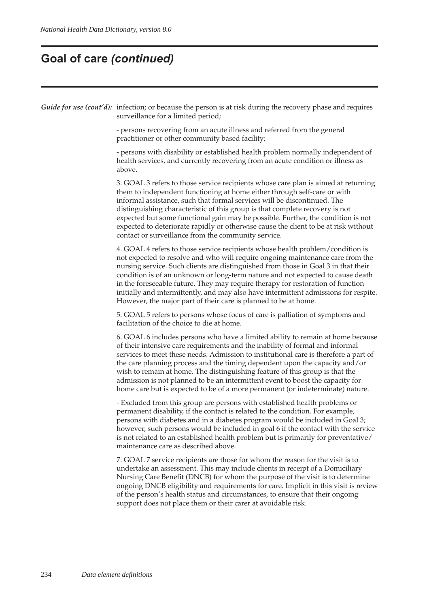### **Goal of care** *(continued)*

*Guide for use (cont'd):* infection; or because the person is at risk during the recovery phase and requires surveillance for a limited period;

> - persons recovering from an acute illness and referred from the general practitioner or other community based facility;

- persons with disability or established health problem normally independent of health services, and currently recovering from an acute condition or illness as above.

3. GOAL 3 refers to those service recipients whose care plan is aimed at returning them to independent functioning at home either through self-care or with informal assistance, such that formal services will be discontinued. The distinguishing characteristic of this group is that complete recovery is not expected but some functional gain may be possible. Further, the condition is not expected to deteriorate rapidly or otherwise cause the client to be at risk without contact or surveillance from the community service.

4. GOAL 4 refers to those service recipients whose health problem/condition is not expected to resolve and who will require ongoing maintenance care from the nursing service. Such clients are distinguished from those in Goal 3 in that their condition is of an unknown or long-term nature and not expected to cause death in the foreseeable future. They may require therapy for restoration of function initially and intermittently, and may also have intermittent admissions for respite. However, the major part of their care is planned to be at home.

5. GOAL 5 refers to persons whose focus of care is palliation of symptoms and facilitation of the choice to die at home.

6. GOAL 6 includes persons who have a limited ability to remain at home because of their intensive care requirements and the inability of formal and informal services to meet these needs. Admission to institutional care is therefore a part of the care planning process and the timing dependent upon the capacity and/or wish to remain at home. The distinguishing feature of this group is that the admission is not planned to be an intermittent event to boost the capacity for home care but is expected to be of a more permanent (or indeterminate) nature.

- Excluded from this group are persons with established health problems or permanent disability, if the contact is related to the condition. For example, persons with diabetes and in a diabetes program would be included in Goal 3; however, such persons would be included in goal 6 if the contact with the service is not related to an established health problem but is primarily for preventative/ maintenance care as described above.

7. GOAL 7 service recipients are those for whom the reason for the visit is to undertake an assessment. This may include clients in receipt of a Domiciliary Nursing Care Benefit (DNCB) for whom the purpose of the visit is to determine ongoing DNCB eligibility and requirements for care. Implicit in this visit is review of the person's health status and circumstances, to ensure that their ongoing support does not place them or their carer at avoidable risk.